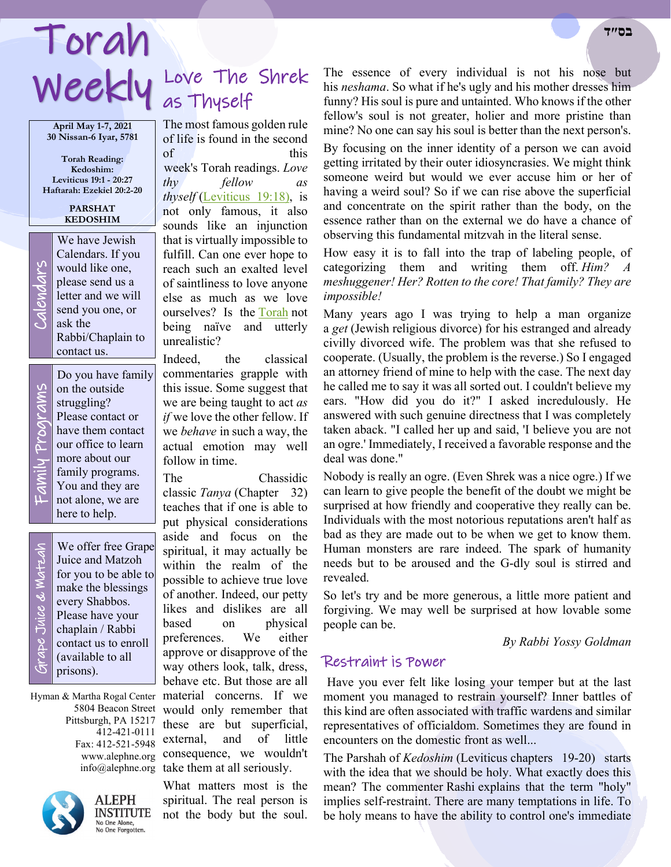# Weekly Love The Torah **בס״ד**

**April May 1-7, 2021 30 Nissan-6 Iyar, 5781**

**Torah Reading: Kedoshim: Leviticus 19:1 - 20:27 Haftarah: Ezekiel 20:2-20**

> **PARSHAT KEDOSHIM**

We have Jewish<br>Calendars. If you<br>would like one,<br>please send us a<br>letter and we will<br>send you one, or<br>ask the Calendars. If you would like one, please send us a letter and we will send you one, or ask the Rabbi/Chaplain to contact us.

> Do you have family on the outside struggling? Please contact or have them contact our office to learn more about our family programs. You and they are not alone, we are here to help.

Family Programs y Programs

 Grape Juice & Matzah rape Juice & Watzah We offer free Grape Juice and Matzoh for you to be able to make the blessings every Shabbos. Please have your chaplain / Rabbi contact us to enroll (available to all prisons).

Hyman & Martha Rogal Center Pittsburgh, PA 15217 412-421-0111 Fax: 412-521-5948



**ALEPH INSTITUTE** No One Alone,<br>No One Forgotten.

# Love The Shrek

The most famous golden rule of life is found in the second of  $\mathcal{L}$  this this week's Torah readings. *Love thy fellow as thyself* [\(Leviticus 19:18\),](https://www.chabad.org/9920#v18) is not only famous, it also sounds like an injunction that is virtually impossible to fulfill. Can one ever hope to reach such an exalted level of saintliness to love anyone else as much as we love ourselves? Is the [Torah](https://www.chabad.org/library/article_cdo/aid/1426382/jewish/Torah.htm) not being naïve and utterly unrealistic?

Indeed, the classical commentaries grapple with this issue. Some suggest that we are being taught to act *as if* we love the other fellow. If we *behave* in such a way, the actual emotion may well follow in time.

The Chassidic classic *Tanya* (Chapter 32) teaches that if one is able to put physical considerations aside and focus on the spiritual, it may actually be within the realm of the possible to achieve true love of another. Indeed, our petty likes and dislikes are all based on physical preferences. We either approve or disapprove of the way others look, talk, dress, behave etc. But those are all material concerns. If we 5804 Beacon Street would only remember that these are but superficial, external, and of little www.alephne.org consequence, we wouldn't info@alephne.org take them at all seriously.

> What matters most is the spiritual. The real person is not the body but the soul.

The essence of every individual is not his nose but his *neshama*. So what if he's ugly and his mother dresses him funny? His soul is pure and untainted. Who knows if the other fellow's soul is not greater, holier and more pristine than mine? No one can say his soul is better than the next person's.

By focusing on the inner identity of a person we can avoid getting irritated by their outer idiosyncrasies. We might think someone weird but would we ever accuse him or her of having a weird soul? So if we can rise above the superficial and concentrate on the spirit rather than the body, on the essence rather than on the external we do have a chance of observing this fundamental mitzvah in the literal sense.

How easy it is to fall into the trap of labeling people, of categorizing them and writing them off. *Him? A meshuggener! Her? Rotten to the core! That family? They are impossible!*

Many years ago I was trying to help a man organize a *get* (Jewish religious divorce) for his estranged and already civilly divorced wife. The problem was that she refused to cooperate. (Usually, the problem is the reverse.) So I engaged an attorney friend of mine to help with the case. The next day he called me to say it was all sorted out. I couldn't believe my ears. "How did you do it?" I asked incredulously. He answered with such genuine directness that I was completely taken aback. "I called her up and said, 'I believe you are not an ogre.' Immediately, I received a favorable response and the deal was done."

Nobody is really an ogre. (Even Shrek was a nice ogre.) If we can learn to give people the benefit of the doubt we might be surprised at how friendly and cooperative they really can be. Individuals with the most notorious reputations aren't half as bad as they are made out to be when we get to know them. Human monsters are rare indeed. The spark of humanity needs but to be aroused and the G-dly soul is stirred and revealed.

So let's try and be more generous, a little more patient and forgiving. We may well be surprised at how lovable some people can be.

*By Rabbi Yossy Goldman*

### Restraint is Power

Have you ever felt like losing your temper but at the last moment you managed to restrain yourself? Inner battles of this kind are often associated with traffic wardens and similar representatives of officialdom. Sometimes they are found in encounters on the domestic front as well...

The Parshah of *Kedoshim* (Leviticus chapters 19-20) starts with the idea that we should be holy. What exactly does this mean? The commenter Rashi explains that the term "holy" implies self-restraint. There are many temptations in life. To be holy means to have the ability to control one's immediate